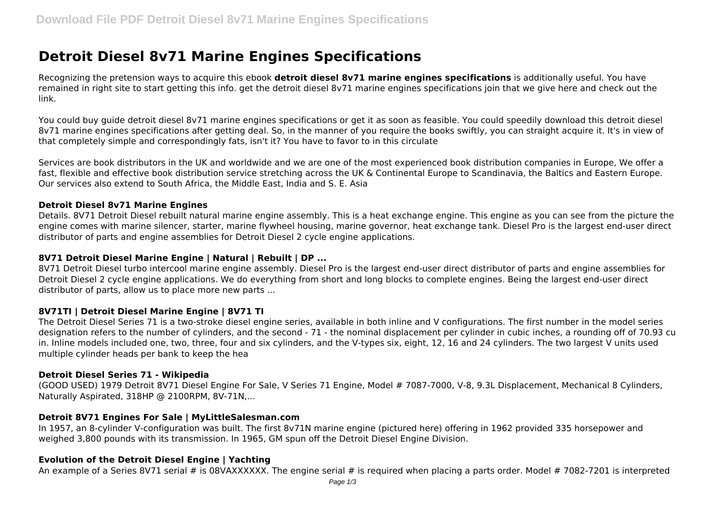# **Detroit Diesel 8v71 Marine Engines Specifications**

Recognizing the pretension ways to acquire this ebook **detroit diesel 8v71 marine engines specifications** is additionally useful. You have remained in right site to start getting this info. get the detroit diesel 8v71 marine engines specifications join that we give here and check out the link.

You could buy guide detroit diesel 8v71 marine engines specifications or get it as soon as feasible. You could speedily download this detroit diesel 8v71 marine engines specifications after getting deal. So, in the manner of you require the books swiftly, you can straight acquire it. It's in view of that completely simple and correspondingly fats, isn't it? You have to favor to in this circulate

Services are book distributors in the UK and worldwide and we are one of the most experienced book distribution companies in Europe, We offer a fast, flexible and effective book distribution service stretching across the UK & Continental Europe to Scandinavia, the Baltics and Eastern Europe. Our services also extend to South Africa, the Middle East, India and S. E. Asia

#### **Detroit Diesel 8v71 Marine Engines**

Details. 8V71 Detroit Diesel rebuilt natural marine engine assembly. This is a heat exchange engine. This engine as you can see from the picture the engine comes with marine silencer, starter, marine flywheel housing, marine governor, heat exchange tank. Diesel Pro is the largest end-user direct distributor of parts and engine assemblies for Detroit Diesel 2 cycle engine applications.

#### **8V71 Detroit Diesel Marine Engine | Natural | Rebuilt | DP ...**

8V71 Detroit Diesel turbo intercool marine engine assembly. Diesel Pro is the largest end-user direct distributor of parts and engine assemblies for Detroit Diesel 2 cycle engine applications. We do everything from short and long blocks to complete engines. Being the largest end-user direct distributor of parts, allow us to place more new parts ...

#### **8V71TI | Detroit Diesel Marine Engine | 8V71 TI**

The Detroit Diesel Series 71 is a two-stroke diesel engine series, available in both inline and V configurations. The first number in the model series designation refers to the number of cylinders, and the second - 71 - the nominal displacement per cylinder in cubic inches, a rounding off of 70.93 cu in. Inline models included one, two, three, four and six cylinders, and the V-types six, eight, 12, 16 and 24 cylinders. The two largest V units used multiple cylinder heads per bank to keep the hea

#### **Detroit Diesel Series 71 - Wikipedia**

(GOOD USED) 1979 Detroit 8V71 Diesel Engine For Sale, V Series 71 Engine, Model # 7087-7000, V-8, 9.3L Displacement, Mechanical 8 Cylinders, Naturally Aspirated, 318HP @ 2100RPM, 8V-71N,...

#### **Detroit 8V71 Engines For Sale | MyLittleSalesman.com**

In 1957, an 8-cylinder V-configuration was built. The first 8v71N marine engine (pictured here) offering in 1962 provided 335 horsepower and weighed 3,800 pounds with its transmission. In 1965, GM spun off the Detroit Diesel Engine Division.

# **Evolution of the Detroit Diesel Engine | Yachting**

An example of a Series 8V71 serial # is 08VAXXXXX. The engine serial # is required when placing a parts order. Model # 7082-7201 is interpreted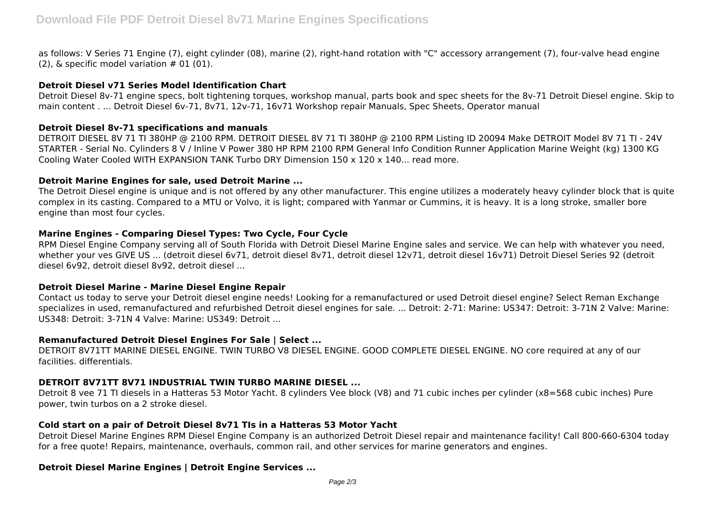as follows: V Series 71 Engine (7), eight cylinder (08), marine (2), right-hand rotation with "C" accessory arrangement (7), four-valve head engine  $(2)$ , & specific model variation  $# 01 (01)$ .

# **Detroit Diesel v71 Series Model Identification Chart**

Detroit Diesel 8v-71 engine specs, bolt tightening torques, workshop manual, parts book and spec sheets for the 8v-71 Detroit Diesel engine. Skip to main content . ... Detroit Diesel 6v-71, 8v71, 12v-71, 16v71 Workshop repair Manuals, Spec Sheets, Operator manual

#### **Detroit Diesel 8v-71 specifications and manuals**

DETROIT DIESEL 8V 71 TI 380HP @ 2100 RPM. DETROIT DIESEL 8V 71 TI 380HP @ 2100 RPM Listing ID 20094 Make DETROIT Model 8V 71 TI - 24V STARTER - Serial No. Cylinders 8 V / Inline V Power 380 HP RPM 2100 RPM General Info Condition Runner Application Marine Weight (kg) 1300 KG Cooling Water Cooled WITH EXPANSION TANK Turbo DRY Dimension 150 x 120 x 140... read more.

#### **Detroit Marine Engines for sale, used Detroit Marine ...**

The Detroit Diesel engine is unique and is not offered by any other manufacturer. This engine utilizes a moderately heavy cylinder block that is quite complex in its casting. Compared to a MTU or Volvo, it is light; compared with Yanmar or Cummins, it is heavy. It is a long stroke, smaller bore engine than most four cycles.

# **Marine Engines - Comparing Diesel Types: Two Cycle, Four Cycle**

RPM Diesel Engine Company serving all of South Florida with Detroit Diesel Marine Engine sales and service. We can help with whatever you need, whether your ves GIVE US ... (detroit diesel 6v71, detroit diesel 8v71, detroit diesel 12v71, detroit diesel 16v71) Detroit Diesel Series 92 (detroit diesel 6v92, detroit diesel 8v92, detroit diesel ...

# **Detroit Diesel Marine - Marine Diesel Engine Repair**

Contact us today to serve your Detroit diesel engine needs! Looking for a remanufactured or used Detroit diesel engine? Select Reman Exchange specializes in used, remanufactured and refurbished Detroit diesel engines for sale. ... Detroit: 2-71: Marine: US347: Detroit: 3-71N 2 Valve: Marine: US348: Detroit: 3-71N 4 Valve: Marine: US349: Detroit ...

# **Remanufactured Detroit Diesel Engines For Sale | Select ...**

DETROIT 8V71TT MARINE DIESEL ENGINE. TWIN TURBO V8 DIESEL ENGINE. GOOD COMPLETE DIESEL ENGINE. NO core required at any of our facilities. differentials.

# **DETROIT 8V71TT 8V71 INDUSTRIAL TWIN TURBO MARINE DIESEL ...**

Detroit 8 vee 71 TI diesels in a Hatteras 53 Motor Yacht. 8 cylinders Vee block (V8) and 71 cubic inches per cylinder (x8=568 cubic inches) Pure power, twin turbos on a 2 stroke diesel.

# **Cold start on a pair of Detroit Diesel 8v71 TIs in a Hatteras 53 Motor Yacht**

Detroit Diesel Marine Engines RPM Diesel Engine Company is an authorized Detroit Diesel repair and maintenance facility! Call 800-660-6304 today for a free quote! Repairs, maintenance, overhauls, common rail, and other services for marine generators and engines.

# **Detroit Diesel Marine Engines | Detroit Engine Services ...**